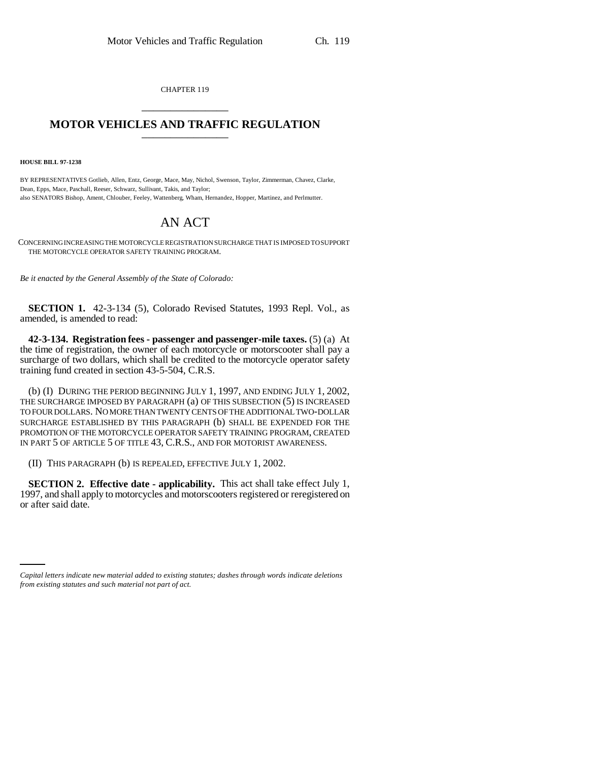CHAPTER 119 \_\_\_\_\_\_\_\_\_\_\_\_\_\_\_

## **MOTOR VEHICLES AND TRAFFIC REGULATION** \_\_\_\_\_\_\_\_\_\_\_\_\_\_\_

**HOUSE BILL 97-1238**

BY REPRESENTATIVES Gotlieb, Allen, Entz, George, Mace, May, Nichol, Swenson, Taylor, Zimmerman, Chavez, Clarke, Dean, Epps, Mace, Paschall, Reeser, Schwarz, Sullivant, Takis, and Taylor; also SENATORS Bishop, Ament, Chlouber, Feeley, Wattenberg, Wham, Hernandez, Hopper, Martinez, and Perlmutter.

## AN ACT

CONCERNING INCREASING THE MOTORCYCLE REGISTRATION SURCHARGE THAT IS IMPOSED TO SUPPORT THE MOTORCYCLE OPERATOR SAFETY TRAINING PROGRAM.

*Be it enacted by the General Assembly of the State of Colorado:*

**SECTION 1.** 42-3-134 (5), Colorado Revised Statutes, 1993 Repl. Vol., as amended, is amended to read:

**42-3-134. Registration fees - passenger and passenger-mile taxes.** (5) (a) At the time of registration, the owner of each motorcycle or motorscooter shall pay a surcharge of two dollars, which shall be credited to the motorcycle operator safety training fund created in section 43-5-504, C.R.S.

(b) (I) DURING THE PERIOD BEGINNING JULY 1, 1997, AND ENDING JULY 1, 2002, THE SURCHARGE IMPOSED BY PARAGRAPH (a) OF THIS SUBSECTION (5) IS INCREASED TO FOUR DOLLARS. NO MORE THAN TWENTY CENTS OF THE ADDITIONAL TWO-DOLLAR SURCHARGE ESTABLISHED BY THIS PARAGRAPH (b) SHALL BE EXPENDED FOR THE PROMOTION OF THE MOTORCYCLE OPERATOR SAFETY TRAINING PROGRAM, CREATED IN PART 5 OF ARTICLE 5 OF TITLE 43, C.R.S., AND FOR MOTORIST AWARENESS.

(II) THIS PARAGRAPH (b) IS REPEALED, EFFECTIVE JULY 1, 2002.

**SECTION 2. Effective date - applicability.** This act shall take effect July 1, 1997, and shall apply to motorcycles and motorscooters registered or reregistered on or after said date.

*Capital letters indicate new material added to existing statutes; dashes through words indicate deletions from existing statutes and such material not part of act.*